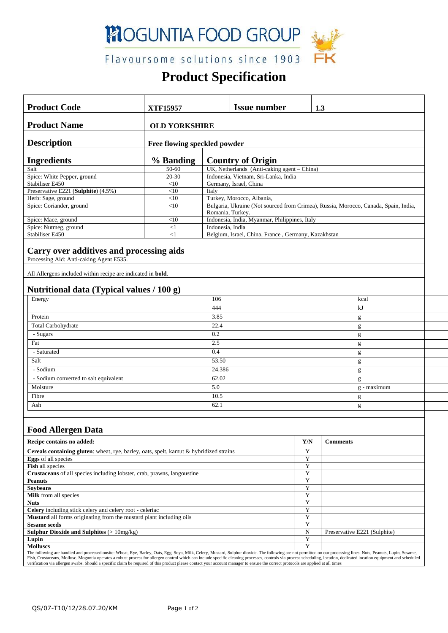

Flavoursome solutions since 1903

# **Product Specification**

| <b>Product Code</b>                                                                                                                                                                                                                                                                                                                                                                                           | <b>XTF15957</b>              |                                                                                                         | <b>Issue number</b> | 1.3                      |                 |                              |
|---------------------------------------------------------------------------------------------------------------------------------------------------------------------------------------------------------------------------------------------------------------------------------------------------------------------------------------------------------------------------------------------------------------|------------------------------|---------------------------------------------------------------------------------------------------------|---------------------|--------------------------|-----------------|------------------------------|
| <b>Product Name</b>                                                                                                                                                                                                                                                                                                                                                                                           | <b>OLD YORKSHIRE</b>         |                                                                                                         |                     |                          |                 |                              |
| <b>Description</b>                                                                                                                                                                                                                                                                                                                                                                                            | Free flowing speckled powder |                                                                                                         |                     |                          |                 |                              |
| <b>Ingredients</b>                                                                                                                                                                                                                                                                                                                                                                                            | % Banding                    | <b>Country of Origin</b>                                                                                |                     |                          |                 |                              |
| Salt                                                                                                                                                                                                                                                                                                                                                                                                          | 50-60                        | UK, Netherlands (Anti-caking agent - China)                                                             |                     |                          |                 |                              |
| Spice: White Pepper, ground                                                                                                                                                                                                                                                                                                                                                                                   | 20-30                        | Indonesia, Vietnam, Sri-Lanka, India                                                                    |                     |                          |                 |                              |
| Stabiliser E450                                                                                                                                                                                                                                                                                                                                                                                               | $<$ 10                       | Germany, Israel, China                                                                                  |                     |                          |                 |                              |
| Preservative E221 (Sulphite) (4.5%)                                                                                                                                                                                                                                                                                                                                                                           | $<$ 10                       | Italy                                                                                                   |                     |                          |                 |                              |
| Herb: Sage, ground                                                                                                                                                                                                                                                                                                                                                                                            | $<\!\!10$                    | Turkey, Morocco, Albania,                                                                               |                     |                          |                 |                              |
| Spice: Coriander, ground                                                                                                                                                                                                                                                                                                                                                                                      | $<$ 10                       | Bulgaria, Ukraine (Not sourced from Crimea), Russia, Morocco, Canada, Spain, India,<br>Romania, Turkey. |                     |                          |                 |                              |
| Spice: Mace, ground                                                                                                                                                                                                                                                                                                                                                                                           | $<$ 10                       | Indonesia, India, Myanmar, Philippines, Italy                                                           |                     |                          |                 |                              |
| Spice: Nutmeg, ground                                                                                                                                                                                                                                                                                                                                                                                         | <1                           | Indonesia, India                                                                                        |                     |                          |                 |                              |
| Stabiliser E450                                                                                                                                                                                                                                                                                                                                                                                               | $<$ 1                        | Belgium, Israel, China, France, Germany, Kazakhstan                                                     |                     |                          |                 |                              |
| Carry over additives and processing aids                                                                                                                                                                                                                                                                                                                                                                      |                              |                                                                                                         |                     |                          |                 |                              |
| Processing Aid: Anti-caking Agent E535.                                                                                                                                                                                                                                                                                                                                                                       |                              |                                                                                                         |                     |                          |                 |                              |
| All Allergens included within recipe are indicated in <b>bold</b> .                                                                                                                                                                                                                                                                                                                                           |                              |                                                                                                         |                     |                          |                 |                              |
| Nutritional data (Typical values / 100 g)                                                                                                                                                                                                                                                                                                                                                                     |                              |                                                                                                         |                     |                          |                 |                              |
| Energy                                                                                                                                                                                                                                                                                                                                                                                                        | 106                          |                                                                                                         |                     |                          |                 | kcal                         |
|                                                                                                                                                                                                                                                                                                                                                                                                               |                              |                                                                                                         |                     | kJ                       |                 |                              |
| Protein                                                                                                                                                                                                                                                                                                                                                                                                       |                              |                                                                                                         | 3.85                |                          |                 | g                            |
| Total Carbohydrate                                                                                                                                                                                                                                                                                                                                                                                            |                              |                                                                                                         | 22.4                |                          |                 | g                            |
| - Sugars                                                                                                                                                                                                                                                                                                                                                                                                      |                              |                                                                                                         | 0.2                 |                          |                 | g                            |
| Fat                                                                                                                                                                                                                                                                                                                                                                                                           |                              |                                                                                                         | 2.5                 |                          |                 |                              |
| - Saturated                                                                                                                                                                                                                                                                                                                                                                                                   |                              |                                                                                                         | 0.4                 |                          |                 | g                            |
|                                                                                                                                                                                                                                                                                                                                                                                                               |                              |                                                                                                         | 53.50               |                          |                 | g                            |
| Salt                                                                                                                                                                                                                                                                                                                                                                                                          |                              |                                                                                                         |                     |                          |                 | g                            |
| - Sodium                                                                                                                                                                                                                                                                                                                                                                                                      |                              |                                                                                                         | 24.386              |                          |                 | g                            |
| - Sodium converted to salt equivalent                                                                                                                                                                                                                                                                                                                                                                         |                              |                                                                                                         | 62.02               |                          |                 | g                            |
| Moisture                                                                                                                                                                                                                                                                                                                                                                                                      |                              |                                                                                                         | 5.0                 |                          |                 | g - maximum                  |
| Fibre                                                                                                                                                                                                                                                                                                                                                                                                         |                              |                                                                                                         | 10.5                |                          |                 | g                            |
| Ash                                                                                                                                                                                                                                                                                                                                                                                                           |                              |                                                                                                         | 62.1                |                          |                 | g                            |
|                                                                                                                                                                                                                                                                                                                                                                                                               |                              |                                                                                                         |                     |                          |                 |                              |
| <b>Food Allergen Data</b>                                                                                                                                                                                                                                                                                                                                                                                     |                              |                                                                                                         |                     |                          |                 |                              |
| Recipe contains no added:                                                                                                                                                                                                                                                                                                                                                                                     |                              |                                                                                                         |                     | Y/N                      | <b>Comments</b> |                              |
| Cereals containing gluten: wheat, rye, barley, oats, spelt, kamut & hybridized strains                                                                                                                                                                                                                                                                                                                        |                              |                                                                                                         |                     | Y                        |                 |                              |
| <b>Eggs</b> of all species                                                                                                                                                                                                                                                                                                                                                                                    |                              |                                                                                                         |                     | Y                        |                 |                              |
| Fish all species                                                                                                                                                                                                                                                                                                                                                                                              |                              |                                                                                                         |                     | $\overline{Y}$<br>Y      |                 |                              |
| Crustaceans of all species including lobster, crab, prawns, langoustine<br><b>Peanuts</b>                                                                                                                                                                                                                                                                                                                     |                              |                                                                                                         |                     | Y                        |                 |                              |
| <b>Sovbeans</b>                                                                                                                                                                                                                                                                                                                                                                                               |                              |                                                                                                         |                     | Y                        |                 |                              |
| Milk from all species                                                                                                                                                                                                                                                                                                                                                                                         |                              |                                                                                                         |                     | Y                        |                 |                              |
| <b>Nuts</b>                                                                                                                                                                                                                                                                                                                                                                                                   |                              |                                                                                                         |                     | Y                        |                 |                              |
| Celery including stick celery and celery root - celeriac                                                                                                                                                                                                                                                                                                                                                      |                              |                                                                                                         |                     | Y                        |                 |                              |
| Mustard all forms originating from the mustard plant including oils                                                                                                                                                                                                                                                                                                                                           |                              |                                                                                                         |                     | Y                        |                 |                              |
| <b>Sesame seeds</b>                                                                                                                                                                                                                                                                                                                                                                                           |                              |                                                                                                         |                     | Y                        |                 |                              |
| <b>Sulphur Dioxide and Sulphites (&gt; <math>10mg/kg</math>)</b><br>Lupin                                                                                                                                                                                                                                                                                                                                     |                              |                                                                                                         |                     | ${\bf N}$<br>$\mathbf Y$ |                 | Preservative E221 (Sulphite) |
| <b>Molluscs</b>                                                                                                                                                                                                                                                                                                                                                                                               |                              |                                                                                                         |                     | Y                        |                 |                              |
| The following are handled and processed onsite: Wheat, Rye, Barley, Oats, Egg, Soya, Milk, Celery, Mustard, Sulphur dioxide. The following are not permitted on our processing lines: Nuts, Peanuts, Lupin, Sesame,                                                                                                                                                                                           |                              |                                                                                                         |                     |                          |                 |                              |
| Fish, Crustaceans, Mollusc. Moguntia operates a robust process for allergen control which can include specific cleaning processes, controls via process scheduling, location, dedicated location equipment and scheduled<br>verification via allergen swabs. Should a specific claim be required of this product please contact your account manager to ensure the correct protocols are applied at all times |                              |                                                                                                         |                     |                          |                 |                              |